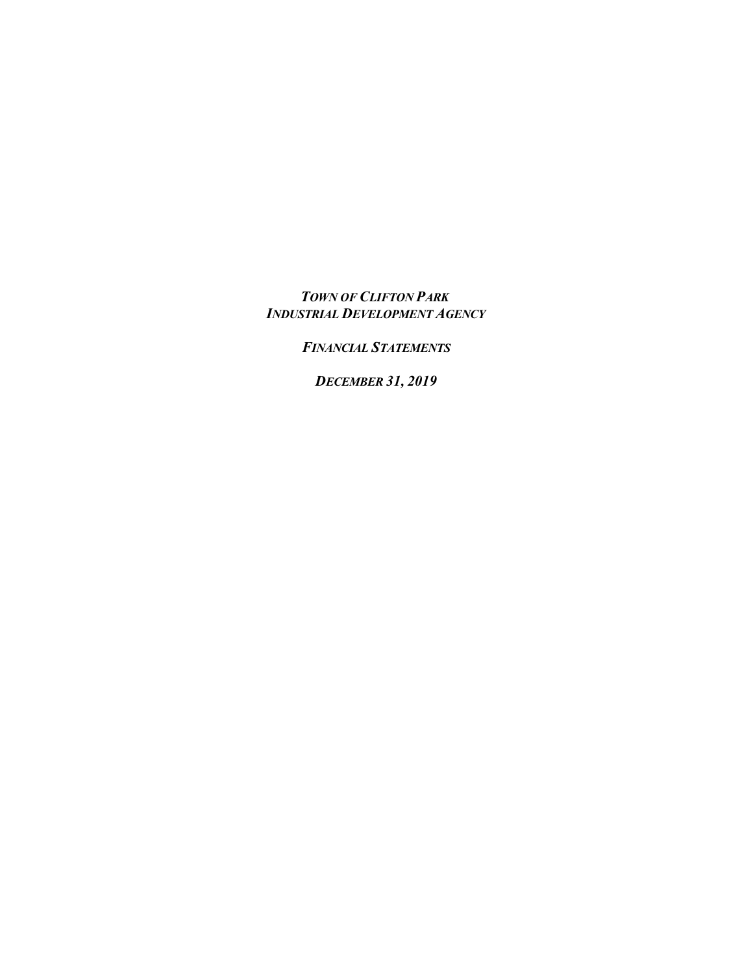*TOWN OF CLIFTON PARK INDUSTRIAL DEVELOPMENT AGENCY*

*FINANCIAL STATEMENTS*

*DECEMBER 31, 2019*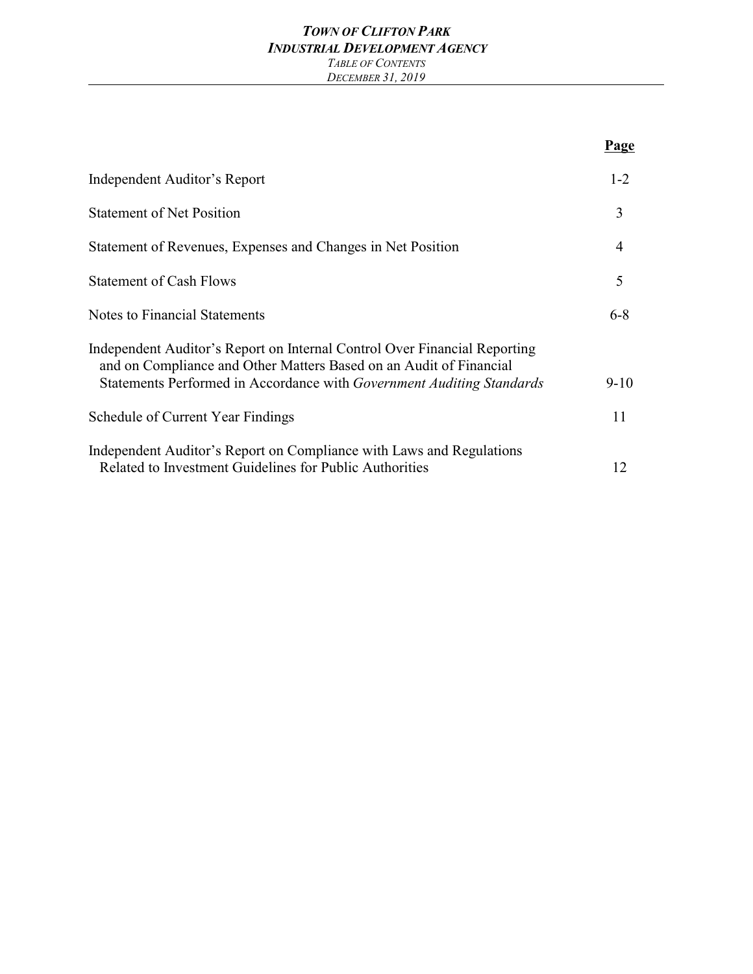#### *TOWN OF CLIFTON PARK INDUSTRIAL DEVELOPMENT AGENCY TABLE OF CONTENTS DECEMBER 31, 2019*

|                                                                                                                                                                                                                          | Page    |
|--------------------------------------------------------------------------------------------------------------------------------------------------------------------------------------------------------------------------|---------|
| Independent Auditor's Report                                                                                                                                                                                             | $1-2$   |
| <b>Statement of Net Position</b>                                                                                                                                                                                         | 3       |
| Statement of Revenues, Expenses and Changes in Net Position                                                                                                                                                              | 4       |
| <b>Statement of Cash Flows</b>                                                                                                                                                                                           | 5       |
| <b>Notes to Financial Statements</b>                                                                                                                                                                                     | $6 - 8$ |
| Independent Auditor's Report on Internal Control Over Financial Reporting<br>and on Compliance and Other Matters Based on an Audit of Financial<br>Statements Performed in Accordance with Government Auditing Standards | $9-10$  |
| <b>Schedule of Current Year Findings</b>                                                                                                                                                                                 | 11      |
| Independent Auditor's Report on Compliance with Laws and Regulations<br>Related to Investment Guidelines for Public Authorities                                                                                          | 12      |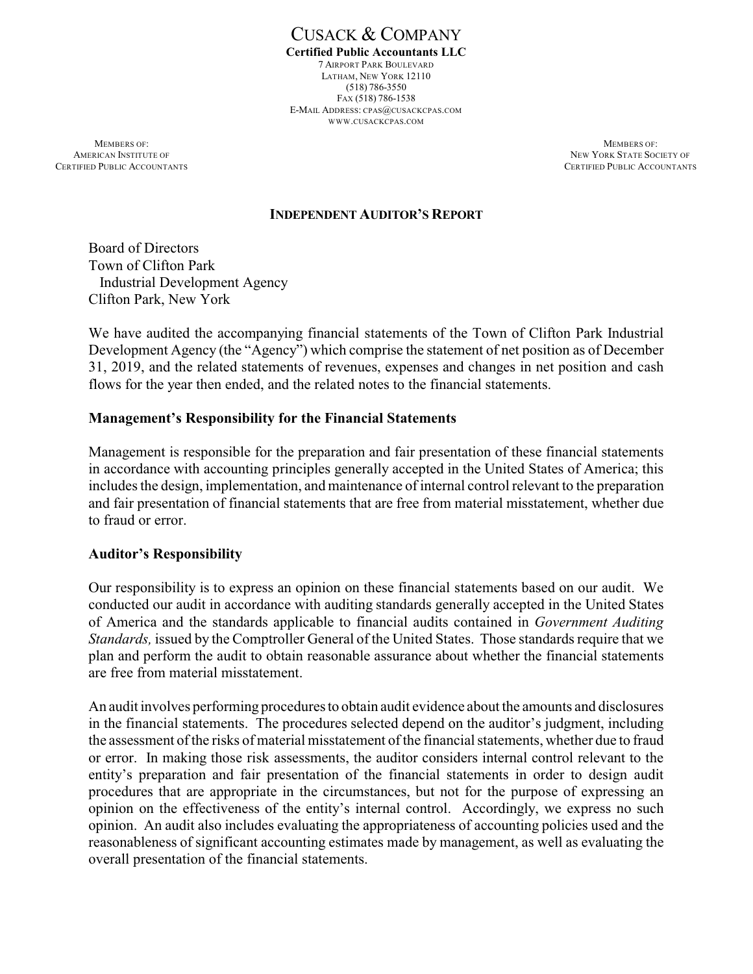CUSACK & COMPANY **Certified Public Accountants LLC** 7 AIRPORT PARK BOULEVARD LATHAM, NEW YORK 12110 (518) 786-3550 FAX (518) 786-1538 E-MAIL ADDRESS: CPAS@CUSACKCPAS.COM WWW.CUSACKCPAS.COM

**MEMBERS OF:** MEMBERS OF: CERTIFIED PUBLIC ACCOUNTANTS CERTIFIED PUBLIC ACCOUNTANTS

**AMERICAN INSTITUTE OF NEW YORK STATE SOCIETY OF NEW YORK STATE SOCIETY OF** 

#### **INDEPENDENT AUDITOR'S REPORT**

Board of Directors Town of Clifton Park Industrial Development Agency Clifton Park, New York

We have audited the accompanying financial statements of the Town of Clifton Park Industrial Development Agency (the "Agency") which comprise the statement of net position as of December 31, 2019, and the related statements of revenues, expenses and changes in net position and cash flows for the year then ended, and the related notes to the financial statements.

#### **Management's Responsibility for the Financial Statements**

Management is responsible for the preparation and fair presentation of these financial statements in accordance with accounting principles generally accepted in the United States of America; this includes the design, implementation, and maintenance of internal control relevant to the preparation and fair presentation of financial statements that are free from material misstatement, whether due to fraud or error.

#### **Auditor's Responsibility**

Our responsibility is to express an opinion on these financial statements based on our audit. We conducted our audit in accordance with auditing standards generally accepted in the United States of America and the standards applicable to financial audits contained in *Government Auditing Standards,* issued by the Comptroller General of the United States. Those standards require that we plan and perform the audit to obtain reasonable assurance about whether the financial statements are free from material misstatement.

An audit involves performing procedures to obtain audit evidence about the amounts and disclosures in the financial statements. The procedures selected depend on the auditor's judgment, including the assessment of the risks of material misstatement of the financial statements, whether due to fraud or error. In making those risk assessments, the auditor considers internal control relevant to the entity's preparation and fair presentation of the financial statements in order to design audit procedures that are appropriate in the circumstances, but not for the purpose of expressing an opinion on the effectiveness of the entity's internal control. Accordingly, we express no such opinion. An audit also includes evaluating the appropriateness of accounting policies used and the reasonableness of significant accounting estimates made by management, as well as evaluating the overall presentation of the financial statements.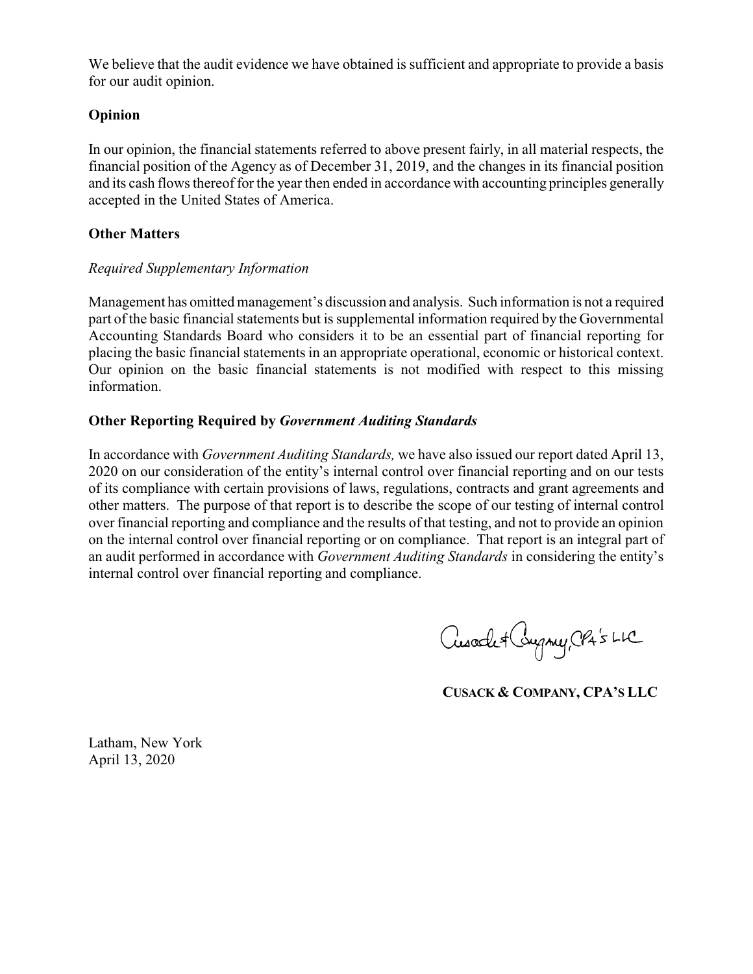We believe that the audit evidence we have obtained is sufficient and appropriate to provide a basis for our audit opinion.

## **Opinion**

In our opinion, the financial statements referred to above present fairly, in all material respects, the financial position of the Agency as of December 31, 2019, and the changes in its financial position and its cash flows thereof for the year then ended in accordance with accounting principles generally accepted in the United States of America.

## **Other Matters**

## *Required Supplementary Information*

Management has omitted management's discussion and analysis. Such information is not a required part of the basic financial statements but is supplemental information required by the Governmental Accounting Standards Board who considers it to be an essential part of financial reporting for placing the basic financial statements in an appropriate operational, economic or historical context. Our opinion on the basic financial statements is not modified with respect to this missing information.

# **Other Reporting Required by** *Government Auditing Standards*

In accordance with *Government Auditing Standards,* we have also issued our report dated April 13, 2020 on our consideration of the entity's internal control over financial reporting and on our tests of its compliance with certain provisions of laws, regulations, contracts and grant agreements and other matters. The purpose of that report is to describe the scope of our testing of internal control over financial reporting and compliance and the results of that testing, and not to provide an opinion on the internal control over financial reporting or on compliance. That report is an integral part of an audit performed in accordance with *Government Auditing Standards* in considering the entity's internal control over financial reporting and compliance.

Cusade + Congney, CP4's LLC

**CUSACK & COMPANY, CPA'S LLC**

Latham, New York April 13, 2020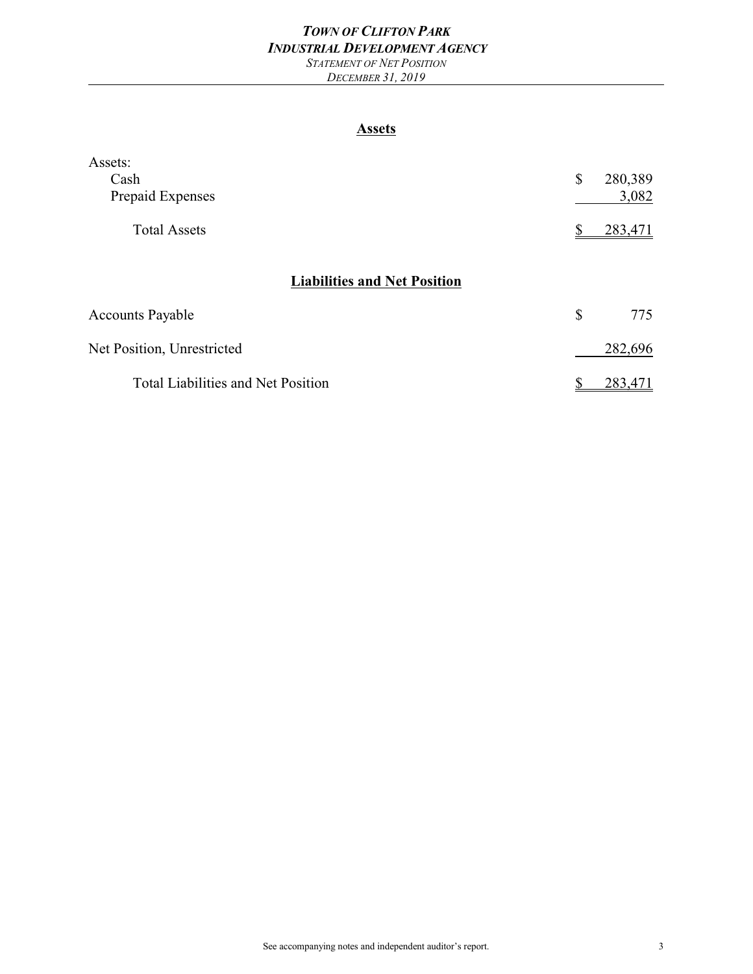#### *TOWN OF CLIFTON PARK INDUSTRIAL DEVELOPMENT AGENCY STATEMENT OF NET POSITION*

*DECEMBER 31, 2019*

#### **Assets**

| Assets:                                   |    |         |
|-------------------------------------------|----|---------|
| Cash                                      | \$ | 280,389 |
| Prepaid Expenses                          |    | 3,082   |
| <b>Total Assets</b>                       | S  | 283,471 |
| <b>Liabilities and Net Position</b>       |    |         |
| <b>Accounts Payable</b>                   | \$ | 775     |
| Net Position, Unrestricted                |    | 282,696 |
| <b>Total Liabilities and Net Position</b> | S  | 283,471 |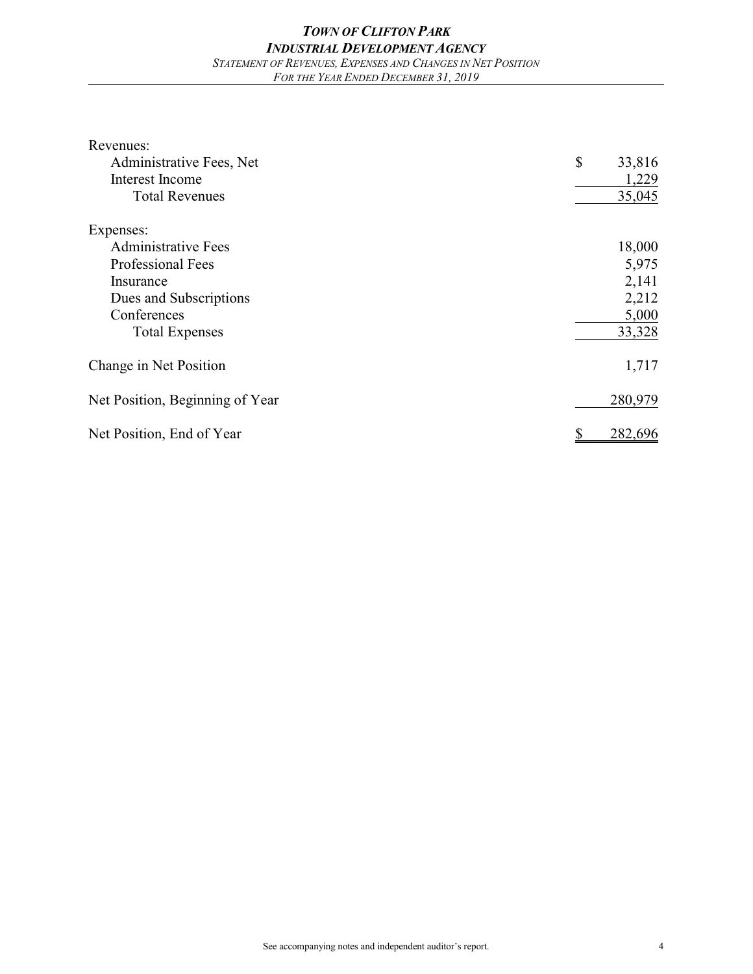| Revenues:                       |              |
|---------------------------------|--------------|
| Administrative Fees, Net        | \$<br>33,816 |
| Interest Income                 | 1,229        |
| <b>Total Revenues</b>           | 35,045       |
| Expenses:                       |              |
| <b>Administrative Fees</b>      | 18,000       |
| <b>Professional Fees</b>        | 5,975        |
| Insurance                       | 2,141        |
| Dues and Subscriptions          | 2,212        |
| Conferences                     | 5,000        |
| <b>Total Expenses</b>           | 33,328       |
| Change in Net Position          | 1,717        |
| Net Position, Beginning of Year | 280,979      |
| Net Position, End of Year       | 282,696      |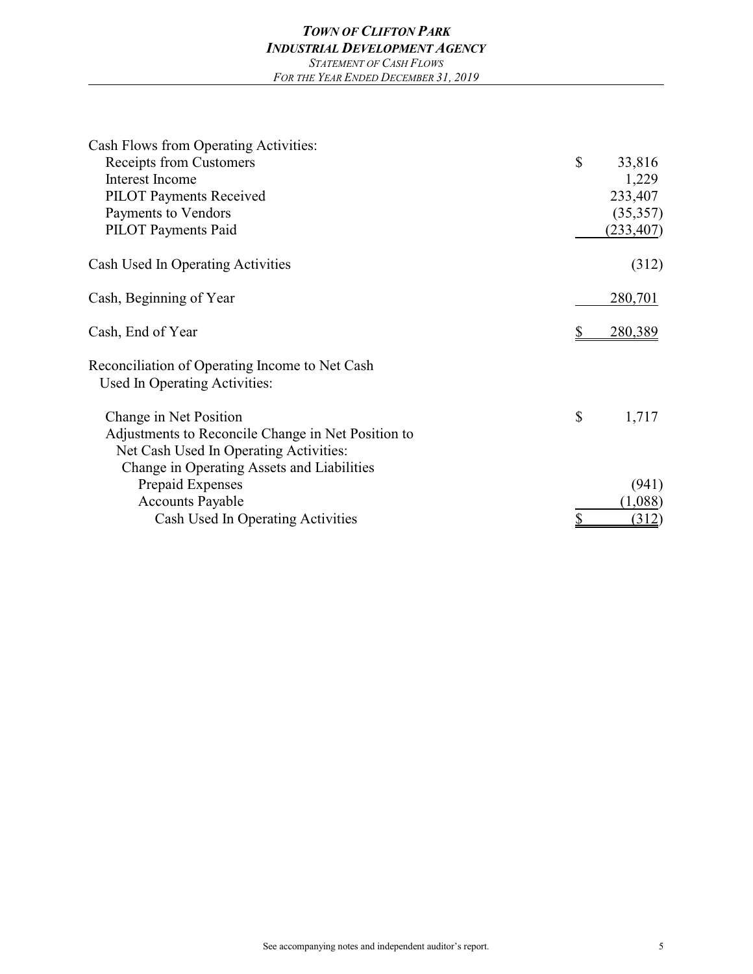| Cash Flows from Operating Activities:                                           |              |
|---------------------------------------------------------------------------------|--------------|
| <b>Receipts from Customers</b>                                                  | \$<br>33,816 |
| Interest Income                                                                 | 1,229        |
| <b>PILOT</b> Payments Received                                                  | 233,407      |
| Payments to Vendors                                                             | (35,357)     |
| <b>PILOT</b> Payments Paid                                                      | (233, 407)   |
| Cash Used In Operating Activities                                               | (312)        |
| Cash, Beginning of Year                                                         | 280,701      |
| Cash, End of Year                                                               | 280,389      |
| Reconciliation of Operating Income to Net Cash<br>Used In Operating Activities: |              |
| Change in Net Position                                                          | \$<br>1,717  |
| Adjustments to Reconcile Change in Net Position to                              |              |
| Net Cash Used In Operating Activities:                                          |              |
| Change in Operating Assets and Liabilities                                      |              |
| Prepaid Expenses                                                                | (941)        |
| <b>Accounts Payable</b>                                                         | (1,088)      |
| Cash Used In Operating Activities                                               | \$<br>(312)  |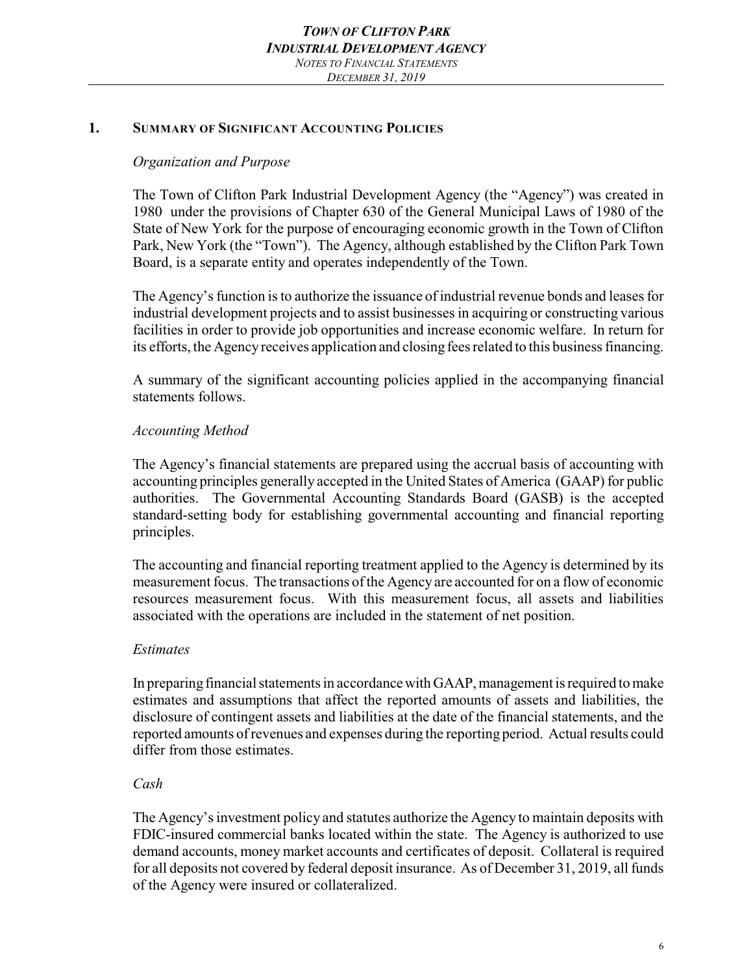## **1. SUMMARY OF SIGNIFICANT ACCOUNTING POLICIES**

#### *Organization and Purpose*

The Town of Clifton Park Industrial Development Agency (the "Agency") was created in 1980 under the provisions of Chapter 630 of the General Municipal Laws of 1980 of the State of New York for the purpose of encouraging economic growth in the Town of Clifton Park, New York (the "Town"). The Agency, although established by the Clifton Park Town Board, is a separate entity and operates independently of the Town.

The Agency's function is to authorize the issuance of industrial revenue bonds and leases for industrial development projects and to assist businesses in acquiring or constructing various facilities in order to provide job opportunities and increase economic welfare. In return for its efforts, the Agencyreceives application and closing fees related to this business financing.

A summary of the significant accounting policies applied in the accompanying financial statements follows.

#### *Accounting Method*

The Agency's financial statements are prepared using the accrual basis of accounting with accounting principles generally accepted in the United States of America (GAAP) for public authorities. The Governmental Accounting Standards Board (GASB) is the accepted standard-setting body for establishing governmental accounting and financial reporting principles.

The accounting and financial reporting treatment applied to the Agency is determined by its measurement focus. The transactions of the Agency are accounted for on a flow of economic resources measurement focus. With this measurement focus, all assets and liabilities associated with the operations are included in the statement of net position.

#### *Estimates*

In preparing financial statements in accordance with GAAP, management is required to make estimates and assumptions that affect the reported amounts of assets and liabilities, the disclosure of contingent assets and liabilities at the date of the financial statements, and the reported amounts ofrevenues and expenses during the reporting period. Actual results could differ from those estimates.

## *Cash*

The Agency's investment policy and statutes authorize the Agency to maintain deposits with FDIC-insured commercial banks located within the state. The Agency is authorized to use demand accounts, money market accounts and certificates of deposit. Collateral is required for all deposits not covered by federal deposit insurance. As of December 31, 2019, all funds of the Agency were insured or collateralized.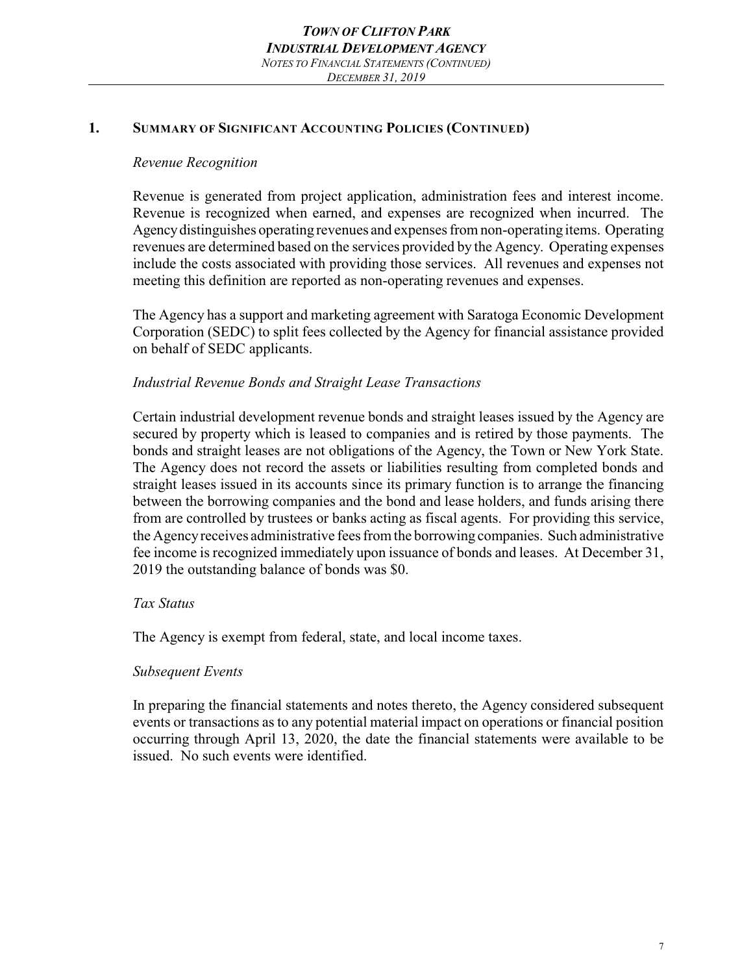## **1. SUMMARY OF SIGNIFICANT ACCOUNTING POLICIES (CONTINUED)**

## *Revenue Recognition*

Revenue is generated from project application, administration fees and interest income. Revenue is recognized when earned, and expenses are recognized when incurred. The Agencydistinguishes operating revenues and expenses from non-operating items. Operating revenues are determined based on the services provided by the Agency. Operating expenses include the costs associated with providing those services. All revenues and expenses not meeting this definition are reported as non-operating revenues and expenses.

The Agency has a support and marketing agreement with Saratoga Economic Development Corporation (SEDC) to split fees collected by the Agency for financial assistance provided on behalf of SEDC applicants.

# *Industrial Revenue Bonds and Straight Lease Transactions*

Certain industrial development revenue bonds and straight leases issued by the Agency are secured by property which is leased to companies and is retired by those payments. The bonds and straight leases are not obligations of the Agency, the Town or New York State. The Agency does not record the assets or liabilities resulting from completed bonds and straight leases issued in its accounts since its primary function is to arrange the financing between the borrowing companies and the bond and lease holders, and funds arising there from are controlled by trustees or banks acting as fiscal agents. For providing this service, the Agencyreceives administrative fees from the borrowing companies. Such administrative fee income is recognized immediately upon issuance of bonds and leases. At December 31, 2019 the outstanding balance of bonds was \$0.

# *Tax Status*

The Agency is exempt from federal, state, and local income taxes.

# *Subsequent Events*

In preparing the financial statements and notes thereto, the Agency considered subsequent events or transactions as to any potential material impact on operations or financial position occurring through April 13, 2020, the date the financial statements were available to be issued. No such events were identified.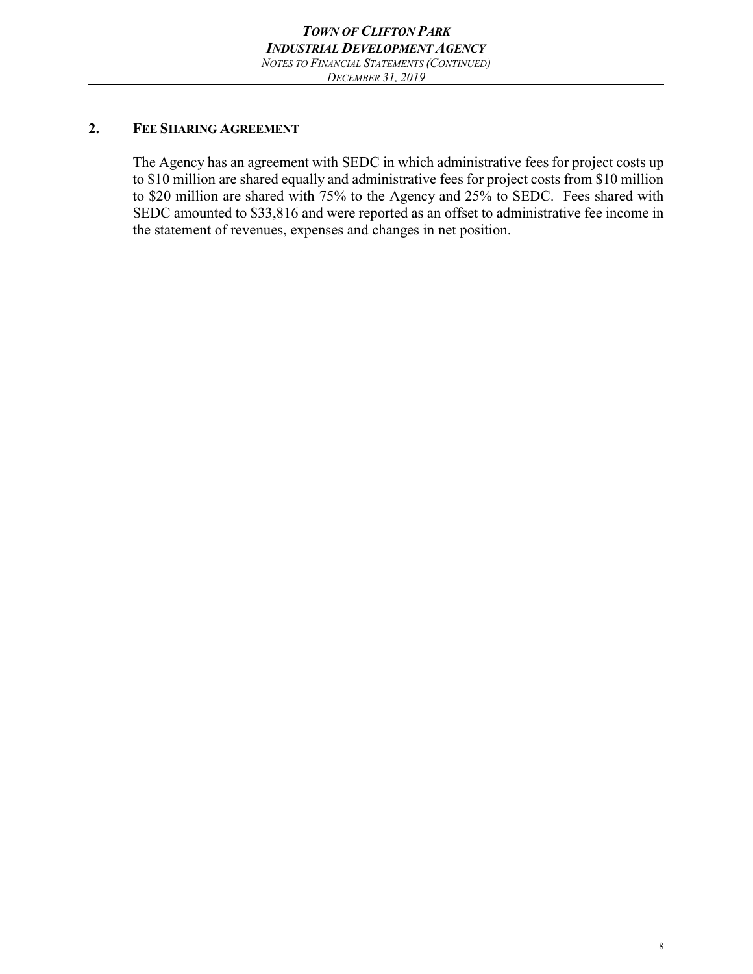## **2. FEE SHARING AGREEMENT**

The Agency has an agreement with SEDC in which administrative fees for project costs up to \$10 million are shared equally and administrative fees for project costs from \$10 million to \$20 million are shared with 75% to the Agency and 25% to SEDC. Fees shared with SEDC amounted to \$33,816 and were reported as an offset to administrative fee income in the statement of revenues, expenses and changes in net position.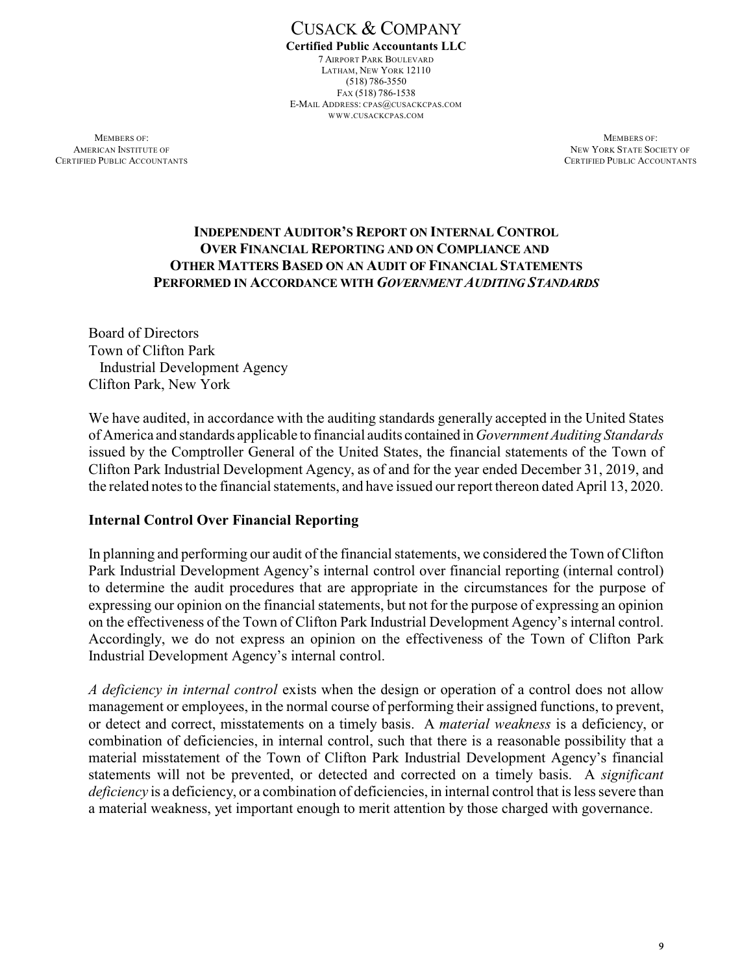CUSACK & COMPANY **Certified Public Accountants LLC** 7 AIRPORT PARK BOULEVARD LATHAM, NEW YORK 12110 (518) 786-3550 FAX (518) 786-1538 E-MAIL ADDRESS: CPAS@CUSACKCPAS.COM WWW.CUSACKCPAS.COM

**MEMBERS OF:** MEMBERS OF: **AMERICAN INSTITUTE OF NEW YORK STATE SOCIETY OF NEW YORK STATE SOCIETY OF** CERTIFIED PUBLIC ACCOUNTANTS CERTIFIED PUBLIC ACCOUNTANTS

# **INDEPENDENT AUDITOR'S REPORT ON INTERNAL CONTROL OVER FINANCIAL REPORTING AND ON COMPLIANCE AND OTHER MATTERS BASED ON AN AUDIT OF FINANCIAL STATEMENTS PERFORMED IN ACCORDANCE WITH** *GOVERNMENT AUDITING STANDARDS*

Board of Directors Town of Clifton Park Industrial Development Agency Clifton Park, New York

We have audited, in accordance with the auditing standards generally accepted in the United States of America and standards applicable to financial audits contained in*Government Auditing Standards* issued by the Comptroller General of the United States, the financial statements of the Town of Clifton Park Industrial Development Agency, as of and for the year ended December 31, 2019, and the related notes to the financial statements, and have issued our report thereon dated April 13, 2020.

# **Internal Control Over Financial Reporting**

In planning and performing our audit of the financial statements, we considered the Town of Clifton Park Industrial Development Agency's internal control over financial reporting (internal control) to determine the audit procedures that are appropriate in the circumstances for the purpose of expressing our opinion on the financial statements, but not for the purpose of expressing an opinion on the effectiveness of the Town of Clifton Park Industrial Development Agency's internal control. Accordingly, we do not express an opinion on the effectiveness of the Town of Clifton Park Industrial Development Agency's internal control.

*A deficiency in internal control* exists when the design or operation of a control does not allow management or employees, in the normal course of performing their assigned functions, to prevent, or detect and correct, misstatements on a timely basis. A *material weakness* is a deficiency, or combination of deficiencies, in internal control, such that there is a reasonable possibility that a material misstatement of the Town of Clifton Park Industrial Development Agency's financial statements will not be prevented, or detected and corrected on a timely basis. A *significant deficiency* is a deficiency, or a combination of deficiencies, in internal control that is less severe than a material weakness, yet important enough to merit attention by those charged with governance.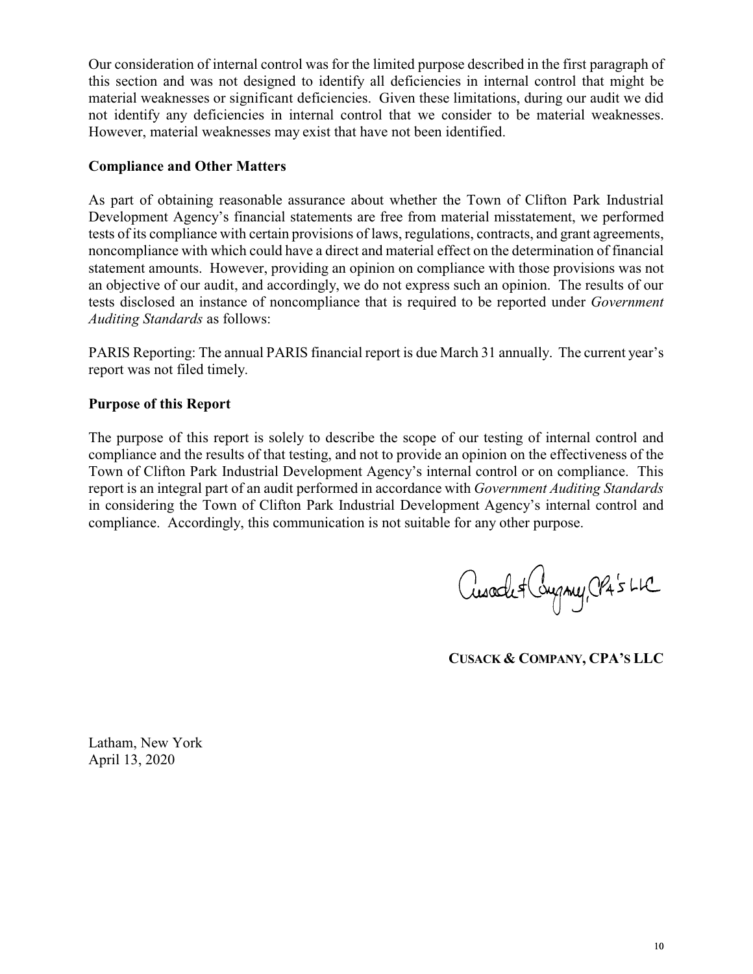Our consideration of internal control was for the limited purpose described in the first paragraph of this section and was not designed to identify all deficiencies in internal control that might be material weaknesses or significant deficiencies. Given these limitations, during our audit we did not identify any deficiencies in internal control that we consider to be material weaknesses. However, material weaknesses may exist that have not been identified.

## **Compliance and Other Matters**

As part of obtaining reasonable assurance about whether the Town of Clifton Park Industrial Development Agency's financial statements are free from material misstatement, we performed tests of its compliance with certain provisions of laws, regulations, contracts, and grant agreements, noncompliance with which could have a direct and material effect on the determination of financial statement amounts. However, providing an opinion on compliance with those provisions was not an objective of our audit, and accordingly, we do not express such an opinion. The results of our tests disclosed an instance of noncompliance that is required to be reported under *Government Auditing Standards* as follows:

PARIS Reporting: The annual PARIS financial report is due March 31 annually. The current year's report was not filed timely.

## **Purpose of this Report**

The purpose of this report is solely to describe the scope of our testing of internal control and compliance and the results of that testing, and not to provide an opinion on the effectiveness of the Town of Clifton Park Industrial Development Agency's internal control or on compliance. This report is an integral part of an audit performed in accordance with *Government Auditing Standards* in considering the Town of Clifton Park Industrial Development Agency's internal control and compliance. Accordingly, this communication is not suitable for any other purpose.

Cusade + Company, CP4's LLC

**CUSACK & COMPANY, CPA'S LLC**

Latham, New York April 13, 2020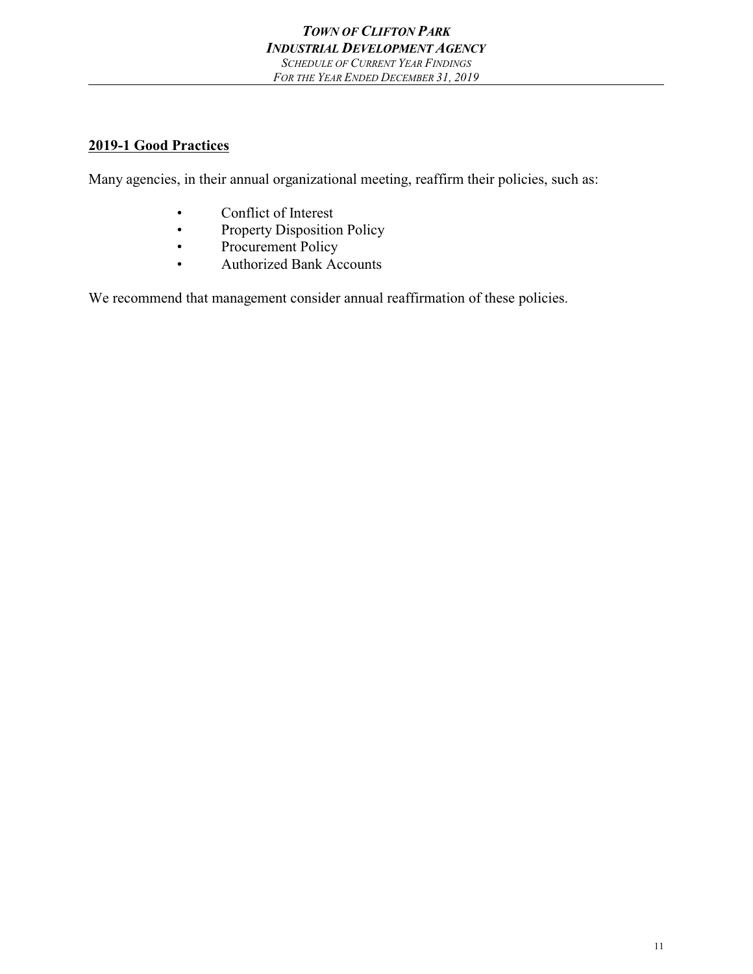# **2019-1 Good Practices**

Many agencies, in their annual organizational meeting, reaffirm their policies, such as:

- Conflict of Interest
- Property Disposition Policy<br>• Procurement Policy
- Procurement Policy
- Authorized Bank Accounts

We recommend that management consider annual reaffirmation of these policies.